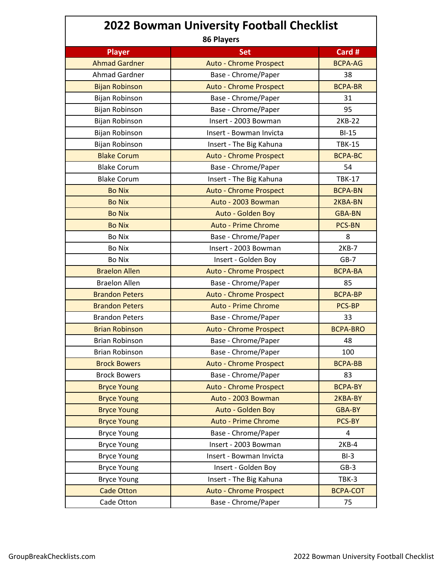| <b>2022 Bowman University Football Checklist</b> |                               |                 |  |
|--------------------------------------------------|-------------------------------|-----------------|--|
| <b>Player</b>                                    | 86 Players<br><b>Set</b>      | Card #          |  |
| <b>Ahmad Gardner</b>                             | <b>Auto - Chrome Prospect</b> | <b>BCPA-AG</b>  |  |
| <b>Ahmad Gardner</b>                             | Base - Chrome/Paper           | 38              |  |
| <b>Bijan Robinson</b>                            | <b>Auto - Chrome Prospect</b> | <b>BCPA-BR</b>  |  |
| Bijan Robinson                                   | Base - Chrome/Paper           | 31              |  |
| Bijan Robinson                                   | Base - Chrome/Paper           | 95              |  |
| Bijan Robinson                                   | Insert - 2003 Bowman          | 2KB-22          |  |
| Bijan Robinson                                   | Insert - Bowman Invicta       | $BI-15$         |  |
| Bijan Robinson                                   | Insert - The Big Kahuna       | <b>TBK-15</b>   |  |
| <b>Blake Corum</b>                               | <b>Auto - Chrome Prospect</b> | <b>BCPA-BC</b>  |  |
| <b>Blake Corum</b>                               | Base - Chrome/Paper           | 54              |  |
| <b>Blake Corum</b>                               | Insert - The Big Kahuna       | <b>TBK-17</b>   |  |
| <b>Bo Nix</b>                                    | <b>Auto - Chrome Prospect</b> | <b>BCPA-BN</b>  |  |
| <b>Bo Nix</b>                                    | Auto - 2003 Bowman            | 2KBA-BN         |  |
| <b>Bo Nix</b>                                    | Auto - Golden Boy             | GBA-BN          |  |
| <b>Bo Nix</b>                                    | <b>Auto - Prime Chrome</b>    | <b>PCS-BN</b>   |  |
| <b>Bo Nix</b>                                    | Base - Chrome/Paper           | 8               |  |
| <b>Bo Nix</b>                                    | Insert - 2003 Bowman          | 2KB-7           |  |
| <b>Bo Nix</b>                                    | Insert - Golden Boy           | $GB-7$          |  |
| <b>Braelon Allen</b>                             | <b>Auto - Chrome Prospect</b> | <b>BCPA-BA</b>  |  |
| <b>Braelon Allen</b>                             | Base - Chrome/Paper           | 85              |  |
| <b>Brandon Peters</b>                            | <b>Auto - Chrome Prospect</b> | <b>BCPA-BP</b>  |  |
| <b>Brandon Peters</b>                            | <b>Auto - Prime Chrome</b>    | PCS-BP          |  |
| <b>Brandon Peters</b>                            | Base - Chrome/Paper           | 33              |  |
| <b>Brian Robinson</b>                            | <b>Auto - Chrome Prospect</b> | <b>BCPA-BRO</b> |  |
| <b>Brian Robinson</b>                            | Base - Chrome/Paper           | 48              |  |
| Brian Robinson                                   | Base - Chrome/Paper           | 100             |  |
| <b>Brock Bowers</b>                              | <b>Auto - Chrome Prospect</b> | <b>BCPA-BB</b>  |  |
| <b>Brock Bowers</b>                              | Base - Chrome/Paper           | 83              |  |
| <b>Bryce Young</b>                               | <b>Auto - Chrome Prospect</b> | <b>BCPA-BY</b>  |  |
| <b>Bryce Young</b>                               | Auto - 2003 Bowman            | 2KBA-BY         |  |
| <b>Bryce Young</b>                               | Auto - Golden Boy             | <b>GBA-BY</b>   |  |
| <b>Bryce Young</b>                               | <b>Auto - Prime Chrome</b>    | PCS-BY          |  |
| <b>Bryce Young</b>                               | Base - Chrome/Paper           | 4               |  |
| <b>Bryce Young</b>                               | Insert - 2003 Bowman          | $2KB-4$         |  |
| <b>Bryce Young</b>                               | Insert - Bowman Invicta       | $BI-3$          |  |
| <b>Bryce Young</b>                               | Insert - Golden Boy           | $GB-3$          |  |
| <b>Bryce Young</b>                               | Insert - The Big Kahuna       | TBK-3           |  |
| <b>Cade Otton</b>                                | <b>Auto - Chrome Prospect</b> | <b>BCPA-COT</b> |  |
| Cade Otton                                       | Base - Chrome/Paper           | 75              |  |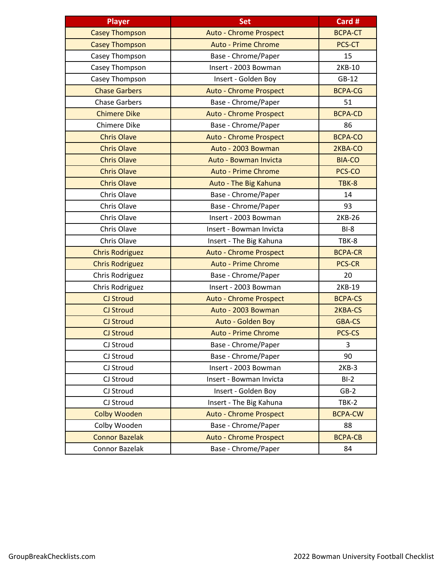| <b>Player</b>          | <b>Set</b>                    | Card #         |
|------------------------|-------------------------------|----------------|
| <b>Casey Thompson</b>  | <b>Auto - Chrome Prospect</b> | <b>BCPA-CT</b> |
| <b>Casey Thompson</b>  | <b>Auto - Prime Chrome</b>    | PCS-CT         |
| Casey Thompson         | Base - Chrome/Paper           | 15             |
| Casey Thompson         | Insert - 2003 Bowman          | 2KB-10         |
| Casey Thompson         | Insert - Golden Boy           | $GB-12$        |
| <b>Chase Garbers</b>   | <b>Auto - Chrome Prospect</b> | <b>BCPA-CG</b> |
| <b>Chase Garbers</b>   | Base - Chrome/Paper           | 51             |
| <b>Chimere Dike</b>    | <b>Auto - Chrome Prospect</b> | <b>BCPA-CD</b> |
| Chimere Dike           | Base - Chrome/Paper           | 86             |
| <b>Chris Olave</b>     | <b>Auto - Chrome Prospect</b> | <b>BCPA-CO</b> |
| <b>Chris Olave</b>     | Auto - 2003 Bowman            | 2KBA-CO        |
| <b>Chris Olave</b>     | Auto - Bowman Invicta         | <b>BIA-CO</b>  |
| <b>Chris Olave</b>     | <b>Auto - Prime Chrome</b>    | PCS-CO         |
| <b>Chris Olave</b>     | Auto - The Big Kahuna         | TBK-8          |
| Chris Olave            | Base - Chrome/Paper           | 14             |
| Chris Olave            | Base - Chrome/Paper           | 93             |
| Chris Olave            | Insert - 2003 Bowman          | 2KB-26         |
| Chris Olave            | Insert - Bowman Invicta       | $BI-8$         |
| Chris Olave            | Insert - The Big Kahuna       | TBK-8          |
| <b>Chris Rodriguez</b> | <b>Auto - Chrome Prospect</b> | <b>BCPA-CR</b> |
| <b>Chris Rodriguez</b> | <b>Auto - Prime Chrome</b>    | <b>PCS-CR</b>  |
| Chris Rodriguez        | Base - Chrome/Paper           | 20             |
| Chris Rodriguez        | Insert - 2003 Bowman          | 2KB-19         |
| CJ Stroud              | <b>Auto - Chrome Prospect</b> | <b>BCPA-CS</b> |
| CJ Stroud              | Auto - 2003 Bowman            | 2KBA-CS        |
| <b>CJ Stroud</b>       | Auto - Golden Boy             | <b>GBA-CS</b>  |
| <b>CJ Stroud</b>       | <b>Auto - Prime Chrome</b>    | PCS-CS         |
| CJ Stroud              | Base - Chrome/Paper           | 3              |
| CJ Stroud              | Base - Chrome/Paper           | 90             |
| CJ Stroud              | Insert - 2003 Bowman          | $2KB-3$        |
| CJ Stroud              | Insert - Bowman Invicta       | $BI-2$         |
| CJ Stroud              | Insert - Golden Boy           | $GB-2$         |
| CJ Stroud              | Insert - The Big Kahuna       | TBK-2          |
| <b>Colby Wooden</b>    | <b>Auto - Chrome Prospect</b> | <b>BCPA-CW</b> |
| Colby Wooden           | Base - Chrome/Paper           | 88             |
| <b>Connor Bazelak</b>  | <b>Auto - Chrome Prospect</b> | <b>BCPA-CB</b> |
| Connor Bazelak         | Base - Chrome/Paper           | 84             |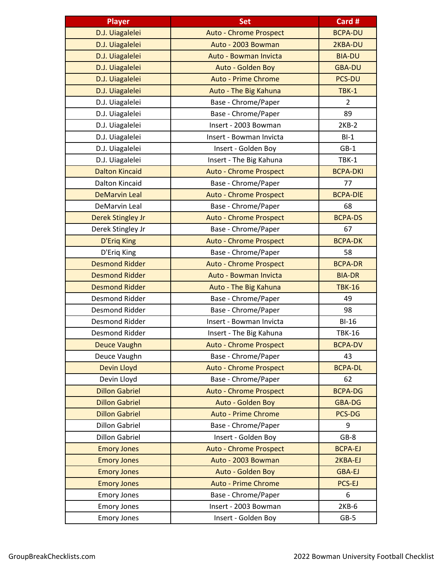| <b>Player</b>            | <b>Set</b>                    | Card #          |
|--------------------------|-------------------------------|-----------------|
| D.J. Uiagalelei          | <b>Auto - Chrome Prospect</b> | <b>BCPA-DU</b>  |
| D.J. Uiagalelei          | Auto - 2003 Bowman            | 2KBA-DU         |
| D.J. Uiagalelei          | Auto - Bowman Invicta         | <b>BIA-DU</b>   |
| D.J. Uiagalelei          | Auto - Golden Boy             | <b>GBA-DU</b>   |
| D.J. Uiagalelei          | <b>Auto - Prime Chrome</b>    | <b>PCS-DU</b>   |
| D.J. Uiagalelei          | Auto - The Big Kahuna         | <b>TBK-1</b>    |
| D.J. Uiagalelei          | Base - Chrome/Paper           | $\overline{2}$  |
| D.J. Uiagalelei          | Base - Chrome/Paper           | 89              |
| D.J. Uiagalelei          | Insert - 2003 Bowman          | $2KB-2$         |
| D.J. Uiagalelei          | Insert - Bowman Invicta       | $BI-1$          |
| D.J. Uiagalelei          | Insert - Golden Boy           | $GB-1$          |
| D.J. Uiagalelei          | Insert - The Big Kahuna       | TBK-1           |
| <b>Dalton Kincaid</b>    | <b>Auto - Chrome Prospect</b> | <b>BCPA-DKI</b> |
| <b>Dalton Kincaid</b>    | Base - Chrome/Paper           | 77              |
| <b>DeMarvin Leal</b>     | <b>Auto - Chrome Prospect</b> | <b>BCPA-DIE</b> |
| DeMarvin Leal            | Base - Chrome/Paper           | 68              |
| <b>Derek Stingley Jr</b> | <b>Auto - Chrome Prospect</b> | <b>BCPA-DS</b>  |
| Derek Stingley Jr        | Base - Chrome/Paper           | 67              |
| <b>D'Eriq King</b>       | <b>Auto - Chrome Prospect</b> | <b>BCPA-DK</b>  |
| D'Eriq King              | Base - Chrome/Paper           | 58              |
| <b>Desmond Ridder</b>    | <b>Auto - Chrome Prospect</b> | <b>BCPA-DR</b>  |
| <b>Desmond Ridder</b>    | Auto - Bowman Invicta         | <b>BIA-DR</b>   |
| <b>Desmond Ridder</b>    | Auto - The Big Kahuna         | <b>TBK-16</b>   |
| <b>Desmond Ridder</b>    | Base - Chrome/Paper           | 49              |
| <b>Desmond Ridder</b>    | Base - Chrome/Paper           | 98              |
| Desmond Ridder           | Insert - Bowman Invicta       | $BI-16$         |
| Desmond Ridder           | Insert - The Big Kahuna       | <b>TBK-16</b>   |
| <b>Deuce Vaughn</b>      | <b>Auto - Chrome Prospect</b> | <b>BCPA-DV</b>  |
| Deuce Vaughn             | Base - Chrome/Paper           | 43              |
| Devin Lloyd              | <b>Auto - Chrome Prospect</b> | <b>BCPA-DL</b>  |
| Devin Lloyd              | Base - Chrome/Paper           | 62              |
| <b>Dillon Gabriel</b>    | <b>Auto - Chrome Prospect</b> | <b>BCPA-DG</b>  |
| <b>Dillon Gabriel</b>    | Auto - Golden Boy             | <b>GBA-DG</b>   |
| <b>Dillon Gabriel</b>    | <b>Auto - Prime Chrome</b>    | PCS-DG          |
| <b>Dillon Gabriel</b>    | Base - Chrome/Paper           | 9               |
| <b>Dillon Gabriel</b>    | Insert - Golden Boy           | $GB-8$          |
| <b>Emory Jones</b>       | <b>Auto - Chrome Prospect</b> | <b>BCPA-EJ</b>  |
| <b>Emory Jones</b>       | Auto - 2003 Bowman            | 2KBA-EJ         |
| <b>Emory Jones</b>       | Auto - Golden Boy             | <b>GBA-EJ</b>   |
| <b>Emory Jones</b>       | <b>Auto - Prime Chrome</b>    | PCS-EJ          |
| <b>Emory Jones</b>       | Base - Chrome/Paper           | 6               |
| <b>Emory Jones</b>       | Insert - 2003 Bowman          | $2KB-6$         |
| <b>Emory Jones</b>       | Insert - Golden Boy           | $GB-5$          |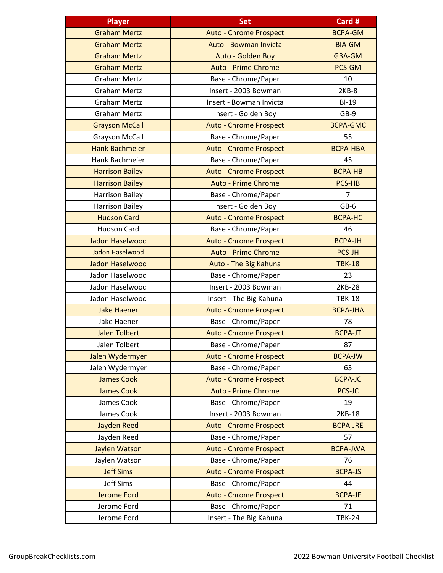| <b>Player</b>          | <b>Set</b>                    | Card #          |
|------------------------|-------------------------------|-----------------|
| <b>Graham Mertz</b>    | <b>Auto - Chrome Prospect</b> | <b>BCPA-GM</b>  |
| <b>Graham Mertz</b>    | Auto - Bowman Invicta         | <b>BIA-GM</b>   |
| <b>Graham Mertz</b>    | Auto - Golden Boy             | <b>GBA-GM</b>   |
| <b>Graham Mertz</b>    | <b>Auto - Prime Chrome</b>    | PCS-GM          |
| <b>Graham Mertz</b>    | Base - Chrome/Paper           | 10              |
| <b>Graham Mertz</b>    | Insert - 2003 Bowman          | $2KB-8$         |
| <b>Graham Mertz</b>    | Insert - Bowman Invicta       | $BI-19$         |
| <b>Graham Mertz</b>    | Insert - Golden Boy           | GB-9            |
| <b>Grayson McCall</b>  | <b>Auto - Chrome Prospect</b> | <b>BCPA-GMC</b> |
| <b>Grayson McCall</b>  | Base - Chrome/Paper           | 55              |
| <b>Hank Bachmeier</b>  | <b>Auto - Chrome Prospect</b> | <b>BCPA-HBA</b> |
| Hank Bachmeier         | Base - Chrome/Paper           | 45              |
| <b>Harrison Bailey</b> | <b>Auto - Chrome Prospect</b> | <b>BCPA-HB</b>  |
| <b>Harrison Bailey</b> | <b>Auto - Prime Chrome</b>    | PCS-HB          |
| <b>Harrison Bailey</b> | Base - Chrome/Paper           | $\overline{7}$  |
| <b>Harrison Bailey</b> | Insert - Golden Boy           | $GB-6$          |
| <b>Hudson Card</b>     | <b>Auto - Chrome Prospect</b> | <b>BCPA-HC</b>  |
| <b>Hudson Card</b>     | Base - Chrome/Paper           | 46              |
| Jadon Haselwood        | <b>Auto - Chrome Prospect</b> | <b>BCPA-JH</b>  |
| Jadon Haselwood        | <b>Auto - Prime Chrome</b>    | <b>PCS-JH</b>   |
| Jadon Haselwood        | Auto - The Big Kahuna         | <b>TBK-18</b>   |
| Jadon Haselwood        | Base - Chrome/Paper           | 23              |
| Jadon Haselwood        | Insert - 2003 Bowman          | 2KB-28          |
| Jadon Haselwood        | Insert - The Big Kahuna       | <b>TBK-18</b>   |
| <b>Jake Haener</b>     | <b>Auto - Chrome Prospect</b> | <b>BCPA-JHA</b> |
| Jake Haener            | Base - Chrome/Paper           | 78              |
| <b>Jalen Tolbert</b>   | <b>Auto - Chrome Prospect</b> | <b>BCPA-JT</b>  |
| Jalen Tolbert          | Base - Chrome/Paper           | 87              |
| Jalen Wydermyer        | <b>Auto - Chrome Prospect</b> | <b>BCPA-JW</b>  |
| Jalen Wydermyer        | Base - Chrome/Paper           | 63              |
| <b>James Cook</b>      | <b>Auto - Chrome Prospect</b> | <b>BCPA-JC</b>  |
| <b>James Cook</b>      | <b>Auto - Prime Chrome</b>    | PCS-JC          |
| James Cook             | Base - Chrome/Paper           | 19              |
| James Cook             | Insert - 2003 Bowman          | 2KB-18          |
| <b>Jayden Reed</b>     | <b>Auto - Chrome Prospect</b> | <b>BCPA-JRE</b> |
| Jayden Reed            | Base - Chrome/Paper           | 57              |
| Jaylen Watson          | <b>Auto - Chrome Prospect</b> | <b>BCPA-JWA</b> |
| Jaylen Watson          | Base - Chrome/Paper           | 76              |
| <b>Jeff Sims</b>       | <b>Auto - Chrome Prospect</b> | <b>BCPA-JS</b>  |
| Jeff Sims              | Base - Chrome/Paper           | 44              |
| <b>Jerome Ford</b>     | <b>Auto - Chrome Prospect</b> | <b>BCPA-JF</b>  |
| Jerome Ford            | Base - Chrome/Paper           | 71              |
| Jerome Ford            | Insert - The Big Kahuna       | <b>TBK-24</b>   |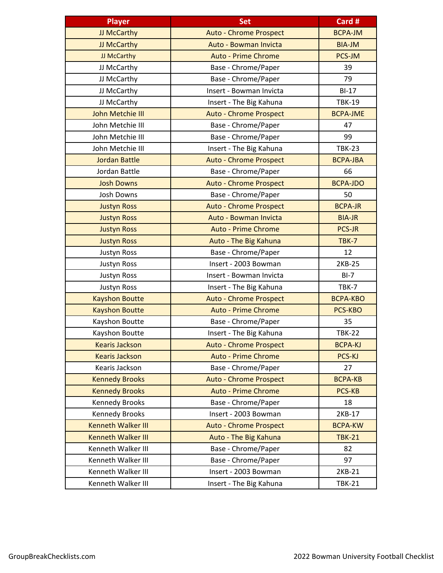| <b>Player</b>             | Set                           | Card #          |
|---------------------------|-------------------------------|-----------------|
| JJ McCarthy               | <b>Auto - Chrome Prospect</b> | <b>BCPA-JM</b>  |
| JJ McCarthy               | Auto - Bowman Invicta         | <b>BIA-JM</b>   |
| JJ McCarthy               | <b>Auto - Prime Chrome</b>    | PCS-JM          |
| JJ McCarthy               | Base - Chrome/Paper           | 39              |
| JJ McCarthy               | Base - Chrome/Paper           | 79              |
| JJ McCarthy               | Insert - Bowman Invicta       | $BI-17$         |
| JJ McCarthy               | Insert - The Big Kahuna       | <b>TBK-19</b>   |
| <b>John Metchie III</b>   | <b>Auto - Chrome Prospect</b> | <b>BCPA-JME</b> |
| John Metchie III          | Base - Chrome/Paper           | 47              |
| John Metchie III          | Base - Chrome/Paper           | 99              |
| John Metchie III          | Insert - The Big Kahuna       | <b>TBK-23</b>   |
| <b>Jordan Battle</b>      | <b>Auto - Chrome Prospect</b> | <b>BCPA-JBA</b> |
| Jordan Battle             | Base - Chrome/Paper           | 66              |
| <b>Josh Downs</b>         | <b>Auto - Chrome Prospect</b> | <b>BCPA-JDO</b> |
| Josh Downs                | Base - Chrome/Paper           | 50              |
| <b>Justyn Ross</b>        | <b>Auto - Chrome Prospect</b> | <b>BCPA-JR</b>  |
| <b>Justyn Ross</b>        | Auto - Bowman Invicta         | <b>BIA-JR</b>   |
| <b>Justyn Ross</b>        | <b>Auto - Prime Chrome</b>    | <b>PCS-JR</b>   |
| <b>Justyn Ross</b>        | Auto - The Big Kahuna         | TBK-7           |
| Justyn Ross               | Base - Chrome/Paper           | 12              |
| Justyn Ross               | Insert - 2003 Bowman          | 2KB-25          |
| Justyn Ross               | Insert - Bowman Invicta       | $BI-7$          |
| Justyn Ross               | Insert - The Big Kahuna       | TBK-7           |
| <b>Kayshon Boutte</b>     | <b>Auto - Chrome Prospect</b> | <b>BCPA-KBO</b> |
| <b>Kayshon Boutte</b>     | <b>Auto - Prime Chrome</b>    | PCS-KBO         |
| Kayshon Boutte            | Base - Chrome/Paper           | 35              |
| Kayshon Boutte            | Insert - The Big Kahuna       | <b>TBK-22</b>   |
| <b>Kearis Jackson</b>     | <b>Auto - Chrome Prospect</b> | <b>BCPA-KJ</b>  |
| <b>Kearis Jackson</b>     | <b>Auto - Prime Chrome</b>    | PCS-KJ          |
| Kearis Jackson            | Base - Chrome/Paper           | 27              |
| <b>Kennedy Brooks</b>     | <b>Auto - Chrome Prospect</b> | <b>BCPA-KB</b>  |
| <b>Kennedy Brooks</b>     | <b>Auto - Prime Chrome</b>    | <b>PCS-KB</b>   |
| <b>Kennedy Brooks</b>     | Base - Chrome/Paper           | 18              |
| <b>Kennedy Brooks</b>     | Insert - 2003 Bowman          | 2KB-17          |
| <b>Kenneth Walker III</b> | <b>Auto - Chrome Prospect</b> | <b>BCPA-KW</b>  |
| <b>Kenneth Walker III</b> | Auto - The Big Kahuna         | <b>TBK-21</b>   |
| Kenneth Walker III        | Base - Chrome/Paper           | 82              |
| Kenneth Walker III        | Base - Chrome/Paper           | 97              |
| Kenneth Walker III        | Insert - 2003 Bowman          | 2KB-21          |
| Kenneth Walker III        | Insert - The Big Kahuna       | <b>TBK-21</b>   |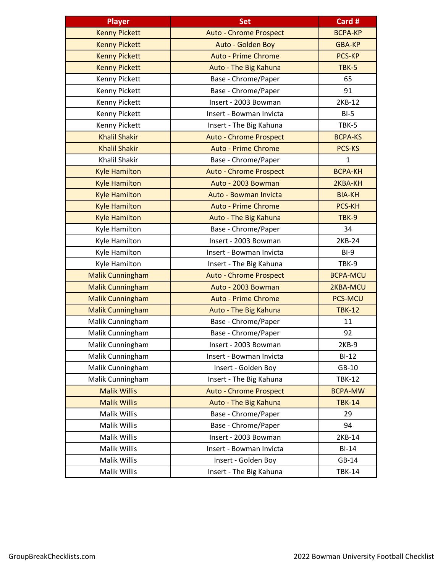| <b>Player</b>           | <b>Set</b>                    | Card #          |
|-------------------------|-------------------------------|-----------------|
| <b>Kenny Pickett</b>    | <b>Auto - Chrome Prospect</b> | <b>BCPA-KP</b>  |
| <b>Kenny Pickett</b>    | Auto - Golden Boy             | <b>GBA-KP</b>   |
| <b>Kenny Pickett</b>    | <b>Auto - Prime Chrome</b>    | <b>PCS-KP</b>   |
| <b>Kenny Pickett</b>    | Auto - The Big Kahuna         | TBK-5           |
| Kenny Pickett           | Base - Chrome/Paper           | 65              |
| Kenny Pickett           | Base - Chrome/Paper           | 91              |
| Kenny Pickett           | Insert - 2003 Bowman          | 2KB-12          |
| Kenny Pickett           | Insert - Bowman Invicta       | $BI-5$          |
| Kenny Pickett           | Insert - The Big Kahuna       | TBK-5           |
| <b>Khalil Shakir</b>    | <b>Auto - Chrome Prospect</b> | <b>BCPA-KS</b>  |
| <b>Khalil Shakir</b>    | <b>Auto - Prime Chrome</b>    | PCS-KS          |
| Khalil Shakir           | Base - Chrome/Paper           | $\mathbf{1}$    |
| <b>Kyle Hamilton</b>    | <b>Auto - Chrome Prospect</b> | <b>BCPA-KH</b>  |
| <b>Kyle Hamilton</b>    | Auto - 2003 Bowman            | 2KBA-KH         |
| <b>Kyle Hamilton</b>    | Auto - Bowman Invicta         | <b>BIA-KH</b>   |
| <b>Kyle Hamilton</b>    | <b>Auto - Prime Chrome</b>    | <b>PCS-KH</b>   |
| <b>Kyle Hamilton</b>    | Auto - The Big Kahuna         | TBK-9           |
| Kyle Hamilton           | Base - Chrome/Paper           | 34              |
| Kyle Hamilton           | Insert - 2003 Bowman          | 2KB-24          |
| Kyle Hamilton           | Insert - Bowman Invicta       | $BI-9$          |
| Kyle Hamilton           | Insert - The Big Kahuna       | TBK-9           |
| <b>Malik Cunningham</b> | <b>Auto - Chrome Prospect</b> | <b>BCPA-MCU</b> |
| <b>Malik Cunningham</b> | Auto - 2003 Bowman            | 2KBA-MCU        |
| <b>Malik Cunningham</b> | <b>Auto - Prime Chrome</b>    | <b>PCS-MCU</b>  |
| <b>Malik Cunningham</b> | Auto - The Big Kahuna         | <b>TBK-12</b>   |
| Malik Cunningham        | Base - Chrome/Paper           | 11              |
| Malik Cunningham        | Base - Chrome/Paper           | 92              |
| Malik Cunningham        | Insert - 2003 Bowman          | $2KB-9$         |
| Malik Cunningham        | Insert - Bowman Invicta       | $BI-12$         |
| Malik Cunningham        | Insert - Golden Boy           | GB-10           |
| Malik Cunningham        | Insert - The Big Kahuna       | <b>TBK-12</b>   |
| <b>Malik Willis</b>     | <b>Auto - Chrome Prospect</b> | <b>BCPA-MW</b>  |
| <b>Malik Willis</b>     | Auto - The Big Kahuna         | <b>TBK-14</b>   |
| Malik Willis            | Base - Chrome/Paper           | 29              |
| Malik Willis            | Base - Chrome/Paper           | 94              |
| Malik Willis            | Insert - 2003 Bowman          | 2KB-14          |
| Malik Willis            | Insert - Bowman Invicta       | $BI-14$         |
| Malik Willis            | Insert - Golden Boy           | GB-14           |
| Malik Willis            | Insert - The Big Kahuna       | <b>TBK-14</b>   |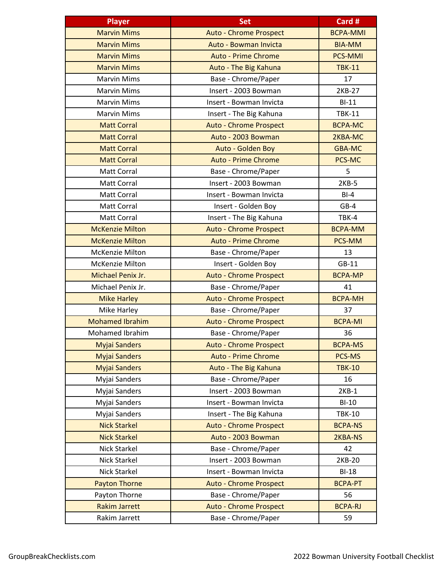| <b>Player</b>          | <b>Set</b>                    | Card #          |
|------------------------|-------------------------------|-----------------|
| <b>Marvin Mims</b>     | <b>Auto - Chrome Prospect</b> | <b>BCPA-MMI</b> |
| <b>Marvin Mims</b>     | Auto - Bowman Invicta         | <b>BIA-MM</b>   |
| <b>Marvin Mims</b>     | <b>Auto - Prime Chrome</b>    | <b>PCS-MMI</b>  |
| <b>Marvin Mims</b>     | Auto - The Big Kahuna         | <b>TBK-11</b>   |
| <b>Marvin Mims</b>     | Base - Chrome/Paper           | 17              |
| <b>Marvin Mims</b>     | Insert - 2003 Bowman          | 2KB-27          |
| <b>Marvin Mims</b>     | Insert - Bowman Invicta       | $BI-11$         |
| <b>Marvin Mims</b>     | Insert - The Big Kahuna       | <b>TBK-11</b>   |
| <b>Matt Corral</b>     | <b>Auto - Chrome Prospect</b> | <b>BCPA-MC</b>  |
| <b>Matt Corral</b>     | Auto - 2003 Bowman            | 2KBA-MC         |
| <b>Matt Corral</b>     | Auto - Golden Boy             | <b>GBA-MC</b>   |
| <b>Matt Corral</b>     | <b>Auto - Prime Chrome</b>    | PCS-MC          |
| Matt Corral            | Base - Chrome/Paper           | 5               |
| Matt Corral            | Insert - 2003 Bowman          | $2KB-5$         |
| Matt Corral            | Insert - Bowman Invicta       | $BI-4$          |
| Matt Corral            | Insert - Golden Boy           | $GB-4$          |
| <b>Matt Corral</b>     | Insert - The Big Kahuna       | TBK-4           |
| <b>McKenzie Milton</b> | <b>Auto - Chrome Prospect</b> | <b>BCPA-MM</b>  |
| <b>McKenzie Milton</b> | <b>Auto - Prime Chrome</b>    | PCS-MM          |
| <b>McKenzie Milton</b> | Base - Chrome/Paper           | 13              |
| <b>McKenzie Milton</b> | Insert - Golden Boy           | $GB-11$         |
| Michael Penix Jr.      | <b>Auto - Chrome Prospect</b> | <b>BCPA-MP</b>  |
| Michael Penix Jr.      | Base - Chrome/Paper           | 41              |
| <b>Mike Harley</b>     | <b>Auto - Chrome Prospect</b> | <b>BCPA-MH</b>  |
| Mike Harley            | Base - Chrome/Paper           | 37              |
| <b>Mohamed Ibrahim</b> | <b>Auto - Chrome Prospect</b> | <b>BCPA-MI</b>  |
| <b>Mohamed Ibrahim</b> | Base - Chrome/Paper           | 36              |
| <b>Myjai Sanders</b>   | <b>Auto - Chrome Prospect</b> | <b>BCPA-MS</b>  |
| <b>Myjai Sanders</b>   | <b>Auto - Prime Chrome</b>    | PCS-MS          |
| <b>Myjai Sanders</b>   | Auto - The Big Kahuna         | <b>TBK-10</b>   |
| Myjai Sanders          | Base - Chrome/Paper           | 16              |
| Myjai Sanders          | Insert - 2003 Bowman          | $2KB-1$         |
| Myjai Sanders          | Insert - Bowman Invicta       | $BI-10$         |
| Myjai Sanders          | Insert - The Big Kahuna       | <b>TBK-10</b>   |
| <b>Nick Starkel</b>    | <b>Auto - Chrome Prospect</b> | <b>BCPA-NS</b>  |
| <b>Nick Starkel</b>    | Auto - 2003 Bowman            | 2KBA-NS         |
| <b>Nick Starkel</b>    | Base - Chrome/Paper           | 42              |
| Nick Starkel           | Insert - 2003 Bowman          | 2KB-20          |
| <b>Nick Starkel</b>    | Insert - Bowman Invicta       | $BI-18$         |
| <b>Payton Thorne</b>   | <b>Auto - Chrome Prospect</b> | <b>BCPA-PT</b>  |
| Payton Thorne          | Base - Chrome/Paper           | 56              |
| <b>Rakim Jarrett</b>   | <b>Auto - Chrome Prospect</b> | <b>BCPA-RJ</b>  |
| Rakim Jarrett          | Base - Chrome/Paper           | 59              |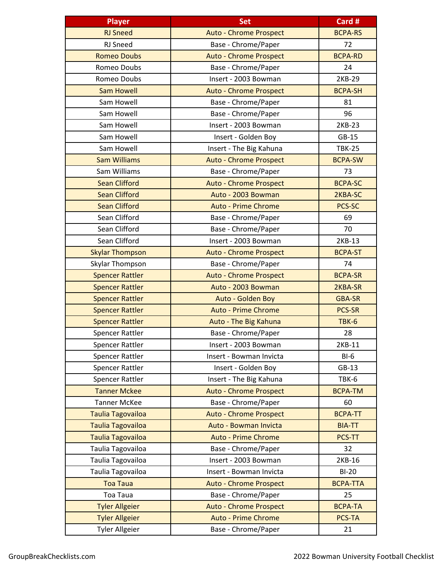| <b>Player</b>            | <b>Set</b>                    | Card #          |
|--------------------------|-------------------------------|-----------------|
| <b>RJ Sneed</b>          | <b>Auto - Chrome Prospect</b> | <b>BCPA-RS</b>  |
| RJ Sneed                 | Base - Chrome/Paper           | 72              |
| <b>Romeo Doubs</b>       | <b>Auto - Chrome Prospect</b> | <b>BCPA-RD</b>  |
| Romeo Doubs              | Base - Chrome/Paper           | 24              |
| Romeo Doubs              | Insert - 2003 Bowman          | 2KB-29          |
| <b>Sam Howell</b>        | <b>Auto - Chrome Prospect</b> | <b>BCPA-SH</b>  |
| Sam Howell               | Base - Chrome/Paper           | 81              |
| Sam Howell               | Base - Chrome/Paper           | 96              |
| Sam Howell               | Insert - 2003 Bowman          | 2KB-23          |
| Sam Howell               | Insert - Golden Boy           | $GB-15$         |
| Sam Howell               | Insert - The Big Kahuna       | <b>TBK-25</b>   |
| <b>Sam Williams</b>      | <b>Auto - Chrome Prospect</b> | <b>BCPA-SW</b>  |
| Sam Williams             | Base - Chrome/Paper           | 73              |
| <b>Sean Clifford</b>     | <b>Auto - Chrome Prospect</b> | <b>BCPA-SC</b>  |
| <b>Sean Clifford</b>     | Auto - 2003 Bowman            | 2KBA-SC         |
| <b>Sean Clifford</b>     | <b>Auto - Prime Chrome</b>    | PCS-SC          |
| Sean Clifford            | Base - Chrome/Paper           | 69              |
| Sean Clifford            | Base - Chrome/Paper           | 70              |
| Sean Clifford            | Insert - 2003 Bowman          | 2KB-13          |
| <b>Skylar Thompson</b>   | <b>Auto - Chrome Prospect</b> | <b>BCPA-ST</b>  |
| Skylar Thompson          | Base - Chrome/Paper           | 74              |
| <b>Spencer Rattler</b>   | <b>Auto - Chrome Prospect</b> | <b>BCPA-SR</b>  |
| <b>Spencer Rattler</b>   | Auto - 2003 Bowman            | 2KBA-SR         |
| <b>Spencer Rattler</b>   | Auto - Golden Boy             | <b>GBA-SR</b>   |
| <b>Spencer Rattler</b>   | <b>Auto - Prime Chrome</b>    | <b>PCS-SR</b>   |
| <b>Spencer Rattler</b>   | Auto - The Big Kahuna         | <b>TBK-6</b>    |
| <b>Spencer Rattler</b>   | Base - Chrome/Paper           | 28              |
| <b>Spencer Rattler</b>   | Insert - 2003 Bowman          | 2KB-11          |
| Spencer Rattler          | Insert - Bowman Invicta       | $BI-6$          |
| <b>Spencer Rattler</b>   | Insert - Golden Boy           | $GB-13$         |
| Spencer Rattler          | Insert - The Big Kahuna       | TBK-6           |
| <b>Tanner Mckee</b>      | <b>Auto - Chrome Prospect</b> | <b>BCPA-TM</b>  |
| <b>Tanner McKee</b>      | Base - Chrome/Paper           | 60              |
| <b>Taulia Tagovailoa</b> | <b>Auto - Chrome Prospect</b> | <b>BCPA-TT</b>  |
| <b>Taulia Tagovailoa</b> | Auto - Bowman Invicta         | <b>BIA-TT</b>   |
| <b>Taulia Tagovailoa</b> | <b>Auto - Prime Chrome</b>    | <b>PCS-TT</b>   |
| Taulia Tagovailoa        | Base - Chrome/Paper           | 32              |
| Taulia Tagovailoa        | Insert - 2003 Bowman          | 2KB-16          |
| Taulia Tagovailoa        | Insert - Bowman Invicta       | $BI-20$         |
| <b>Toa Taua</b>          | <b>Auto - Chrome Prospect</b> | <b>BCPA-TTA</b> |
| Toa Taua                 | Base - Chrome/Paper           | 25              |
| <b>Tyler Allgeier</b>    | <b>Auto - Chrome Prospect</b> | <b>BCPA-TA</b>  |
| <b>Tyler Allgeier</b>    | <b>Auto - Prime Chrome</b>    | PCS-TA          |
| <b>Tyler Allgeier</b>    | Base - Chrome/Paper           | 21              |